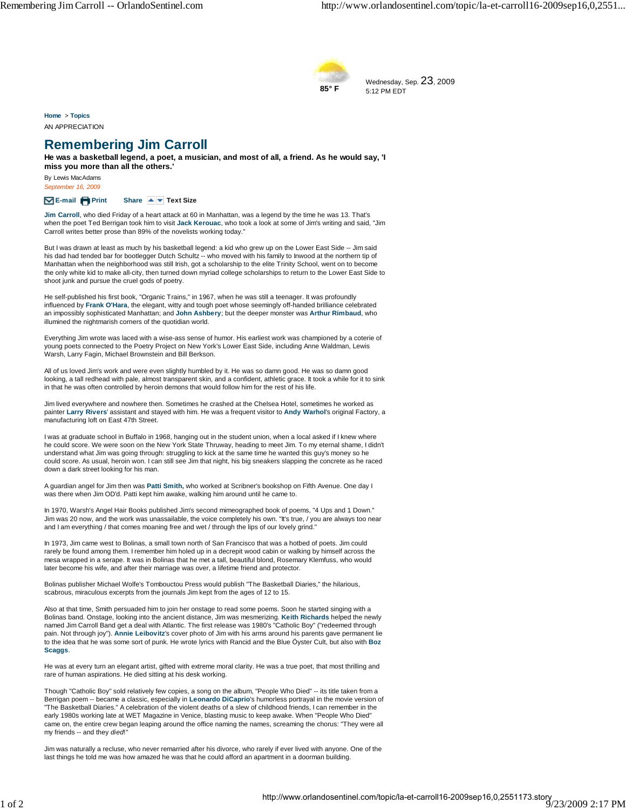

Wednesday, Sep. 23, 2009 5:12 PM EDT

**Home** > **Topics** AN APPRECIATION

## **Remembering Jim Carroll**

**He was a basketball legend, a poet, a musician, and most of all, a friend. As he would say, 'I miss you more than all the others.'**

By Lewis MacAdams *September 16, 2009*

## **E-mail Print Share Text Size**

**Jim Carroll**, who died Friday of a heart attack at 60 in Manhattan, was a legend by the time he was 13. That's when the poet Ted Berrigan took him to visit **Jack Kerouac**, who took a look at some of Jim's writing and said, "Jim Carroll writes better prose than 89% of the novelists working today."

But I was drawn at least as much by his basketball legend: a kid who grew up on the Lower East Side -- Jim said his dad had tended bar for bootlegger Dutch Schultz -- who moved with his family to Inwood at the northern tip of Manhattan when the neighborhood was still Irish, got a scholarship to the elite Trinity School, went on to become the only white kid to make all-city, then turned down myriad college scholarships to return to the Lower East Side to shoot junk and pursue the cruel gods of poetry.

He self-published his first book, "Organic Trains," in 1967, when he was still a teenager. It was profoundly influenced by **Frank O'Hara**, the elegant, witty and tough poet whose seemingly off-handed brilliance celebrated an impossibly sophisticated Manhattan; and **John Ashbery**; but the deeper monster was **Arthur Rimbaud**, who illumined the nightmarish corners of the quotidian world.

Everything Jim wrote was laced with a wise-ass sense of humor. His earliest work was championed by a coterie of young poets connected to the Poetry Project on New York's Lower East Side, including Anne Waldman, Lewis Warsh, Larry Fagin, Michael Brownstein and Bill Berkson.

All of us loved Jim's work and were even slightly humbled by it. He was so damn good. He was so damn good looking, a tall redhead with pale, almost transparent skin, and a confident, athletic grace. It took a while for it to sink in that he was often controlled by heroin demons that would follow him for the rest of his life.

Jim lived everywhere and nowhere then. Sometimes he crashed at the Chelsea Hotel, sometimes he worked as painter **Larry Rivers**' assistant and stayed with him. He was a frequent visitor to **Andy Warhol**'s original Factory, a manufacturing loft on East 47th Street.

I was at graduate school in Buffalo in 1968, hanging out in the student union, when a local asked if I knew where he could score. We were soon on the New York State Thruway, heading to meet Jim. To my eternal shame, I didn't understand what Jim was going through: struggling to kick at the same time he wanted this guy's money so he could score. As usual, heroin won. I can still see Jim that night, his big sneakers slapping the concrete as he raced down a dark street looking for his man.

A guardian angel for Jim then was **Patti Smith,** who worked at Scribner's bookshop on Fifth Avenue. One day I was there when Jim OD'd. Patti kept him awake, walking him around until he came to.

In 1970, Warsh's Angel Hair Books published Jim's second mimeographed book of poems, "4 Ups and 1 Down." Jim was 20 now, and the work was unassailable, the voice completely his own. "It's true, / you are always too near and I am everything / that comes moaning free and wet / through the lips of our lovely grind."

In 1973, Jim came west to Bolinas, a small town north of San Francisco that was a hotbed of poets. Jim could rarely be found among them. I remember him holed up in a decrepit wood cabin or walking by himself across the mesa wrapped in a serape. It was in Bolinas that he met a tall, beautiful blond, Rosemary Klemfuss, who would later become his wife, and after their marriage was over, a lifetime friend and protector.

Bolinas publisher Michael Wolfe's Tombouctou Press would publish "The Basketball Diaries," the hilarious, scabrous, miraculous excerpts from the journals Jim kept from the ages of 12 to 15.

Also at that time, Smith persuaded him to join her onstage to read some poems. Soon he started singing with a Bolinas band. Onstage, looking into the ancient distance, Jim was mesmerizing. **Keith Richards** helped the newly named Jim Carroll Band get a deal with Atlantic. The first release was 1980's "Catholic Boy" ("redeemed through pain. Not through joy"). **Annie Leibovitz**'s cover photo of Jim with his arms around his parents gave permanent lie to the idea that he was some sort of punk. He wrote lyrics with Rancid and the Blue Öyster Cult, but also with **Boz Scaggs**.

He was at every turn an elegant artist, gifted with extreme moral clarity. He was a true poet, that most thrilling and rare of human aspirations. He died sitting at his desk working.

Though "Catholic Boy" sold relatively few copies, a song on the album, "People Who Died" -- its title taken from a Berrigan poem -- became a classic, especially in **Leonardo DiCaprio**'s humorless portrayal in the movie version of "The Basketball Diaries." A celebration of the violent deaths of a slew of childhood friends, I can remember in the early 1980s working late at WET Magazine in Venice, blasting music to keep awake. When "People Who Died" came on, the entire crew began leaping around the office naming the names, screaming the chorus: "They were all my friends -- and they *died*!"

Jim was naturally a recluse, who never remarried after his divorce, who rarely if ever lived with anyone. One of the last things he told me was how amazed he was that he could afford an apartment in a doorman building.